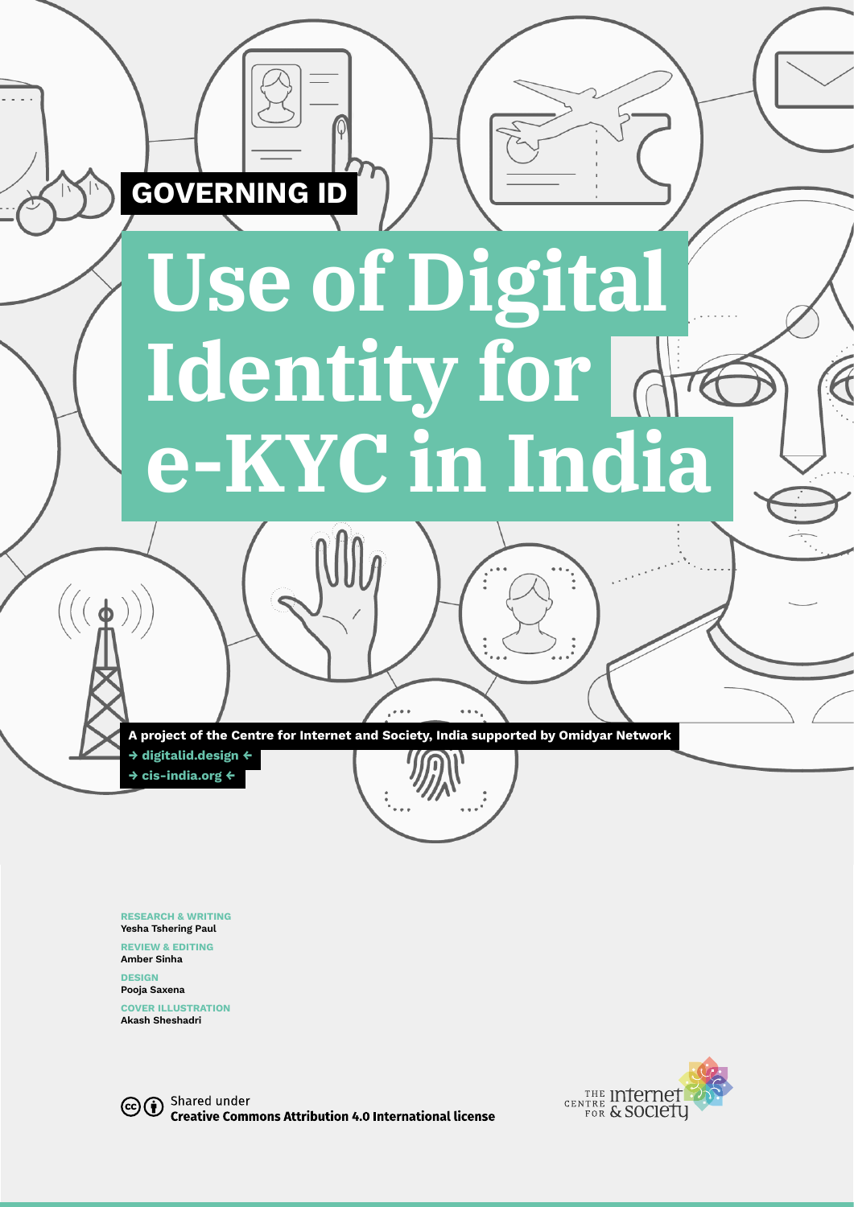

**RESEARCH & WRITING Yesha Tshering Paul**

**REVIEW & EDITING**

**Amber Sinha DESIGN**

**Pooja Saxena** 

**COVER ILLUSTRATION Akash Sheshadri**



CCO Shared under **Creative Commons Attribution 4.0 International license**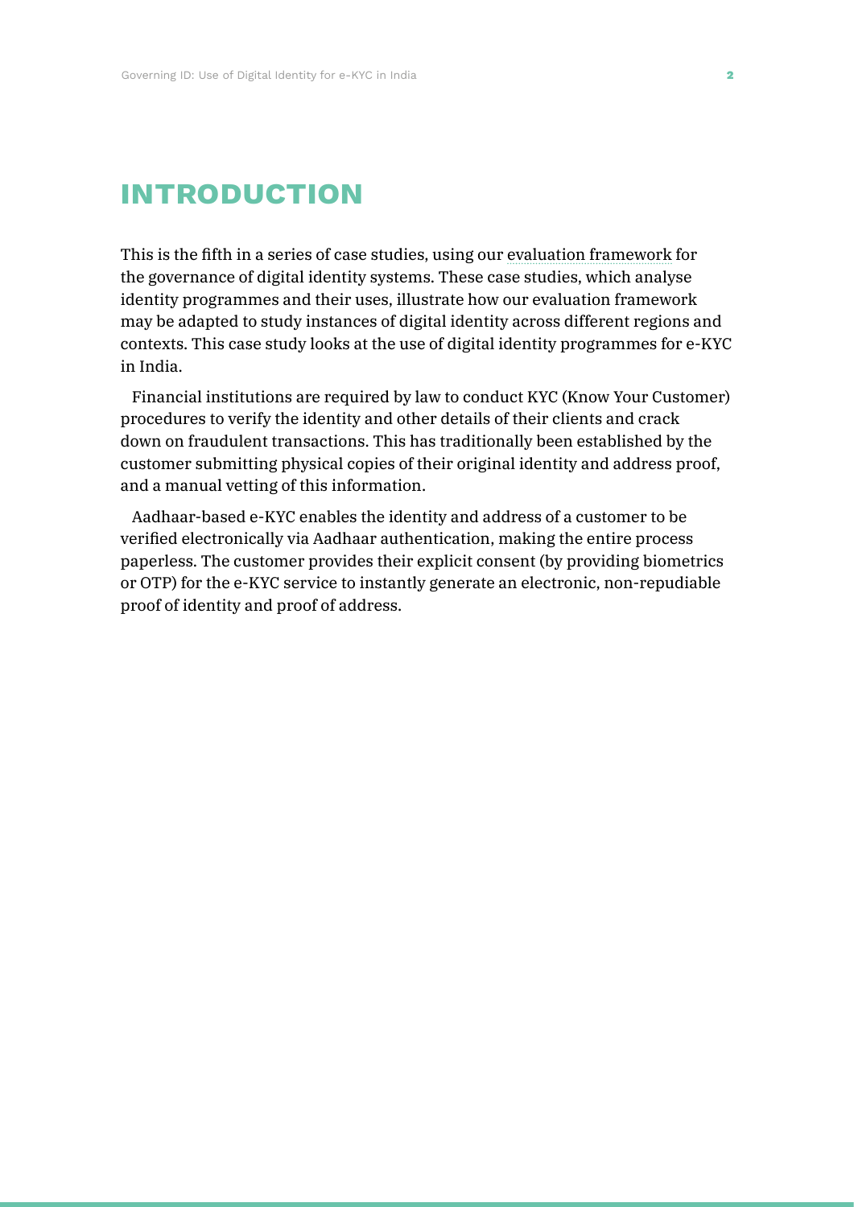# **introduction**

This is the fifth in a series of case studies, using our [evaluation framework](https://digitalid.design/evaluation-framework-02.html) for the governance of digital identity systems. These case studies, which analyse identity programmes and their uses, illustrate how our evaluation framework may be adapted to study instances of digital identity across different regions and contexts. This case study looks at the use of digital identity programmes for e-KYC in India.

Financial institutions are required by law to conduct KYC (Know Your Customer) procedures to verify the identity and other details of their clients and crack down on fraudulent transactions. This has traditionally been established by the customer submitting physical copies of their original identity and address proof, and a manual vetting of this information.

Aadhaar-based e-KYC enables the identity and address of a customer to be verified electronically via Aadhaar authentication, making the entire process paperless. The customer provides their explicit consent (by providing biometrics or OTP) for the e-KYC service to instantly generate an electronic, non-repudiable proof of identity and proof of address.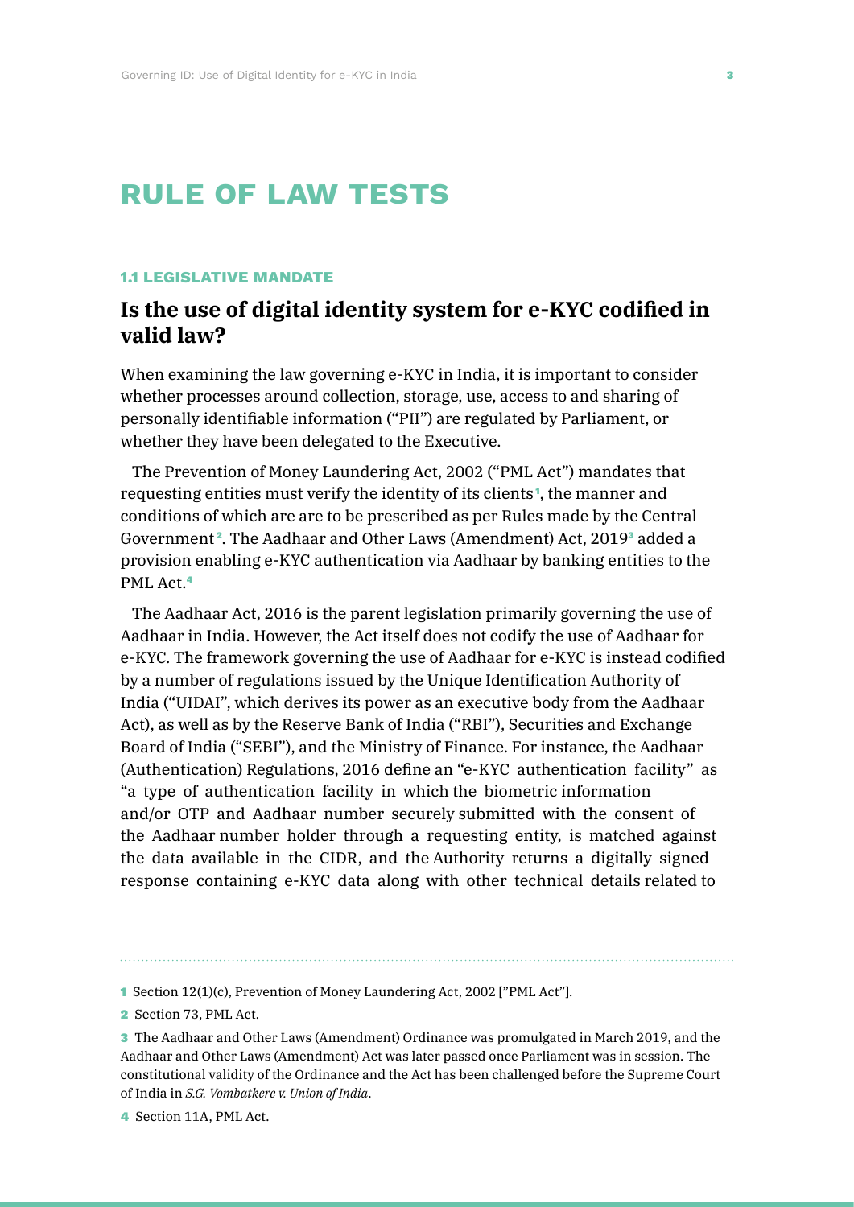# **rule of law tests**

#### **1.1 LEGISLATIVE MANDATE**

# **Is the use of digital identity system for e-KYC codified in valid law?**

When examining the law governing e-KYC in India, it is important to consider whether processes around collection, storage, use, access to and sharing of personally identifiable information ("PII") are regulated by Parliament, or whether they have been delegated to the Executive.

The Prevention of Money Laundering Act, 2002 ("PML Act") mandates that requesting entities must verify the identity of its clients <sup>1</sup> , the manner and conditions of which are are to be prescribed as per Rules made by the Central Government<sup>2</sup>. The Aadhaar and Other Laws (Amendment) Act, 2019<sup>3</sup> added a provision enabling e-KYC authentication via Aadhaar by banking entities to the PML Act.<sup>4</sup>

The Aadhaar Act, 2016 is the parent legislation primarily governing the use of Aadhaar in India. However, the Act itself does not codify the use of Aadhaar for e-KYC. The framework governing the use of Aadhaar for e-KYC is instead codified by a number of regulations issued by the Unique Identification Authority of India ("UIDAI", which derives its power as an executive body from the Aadhaar Act), as well as by the Reserve Bank of India ("RBI"), Securities and Exchange Board of India ("SEBI"), and the Ministry of Finance. For instance, the Aadhaar (Authentication) Regulations, 2016 define an "e-KYC authentication facility" as "a type of authentication facility in which the biometric information and/or OTP and Aadhaar number securely submitted with the consent of the Aadhaar number holder through a requesting entity, is matched against the data available in the CIDR, and the Authority returns a digitally signed response containing e-KYC data along with other technical details related to

4 Section 11A, PML Act.

<sup>1</sup> Section 12(1)(c), Prevention of Money Laundering Act, 2002 ["PML Act"].

<sup>2</sup> Section 73, PML Act.

<sup>3</sup> The Aadhaar and Other Laws (Amendment) Ordinance was promulgated in March 2019, and the Aadhaar and Other Laws (Amendment) Act was later passed once Parliament was in session. The constitutional validity of the Ordinance and the Act has been challenged before the Supreme Court of India in *S.G. Vombatkere v. Union of India*.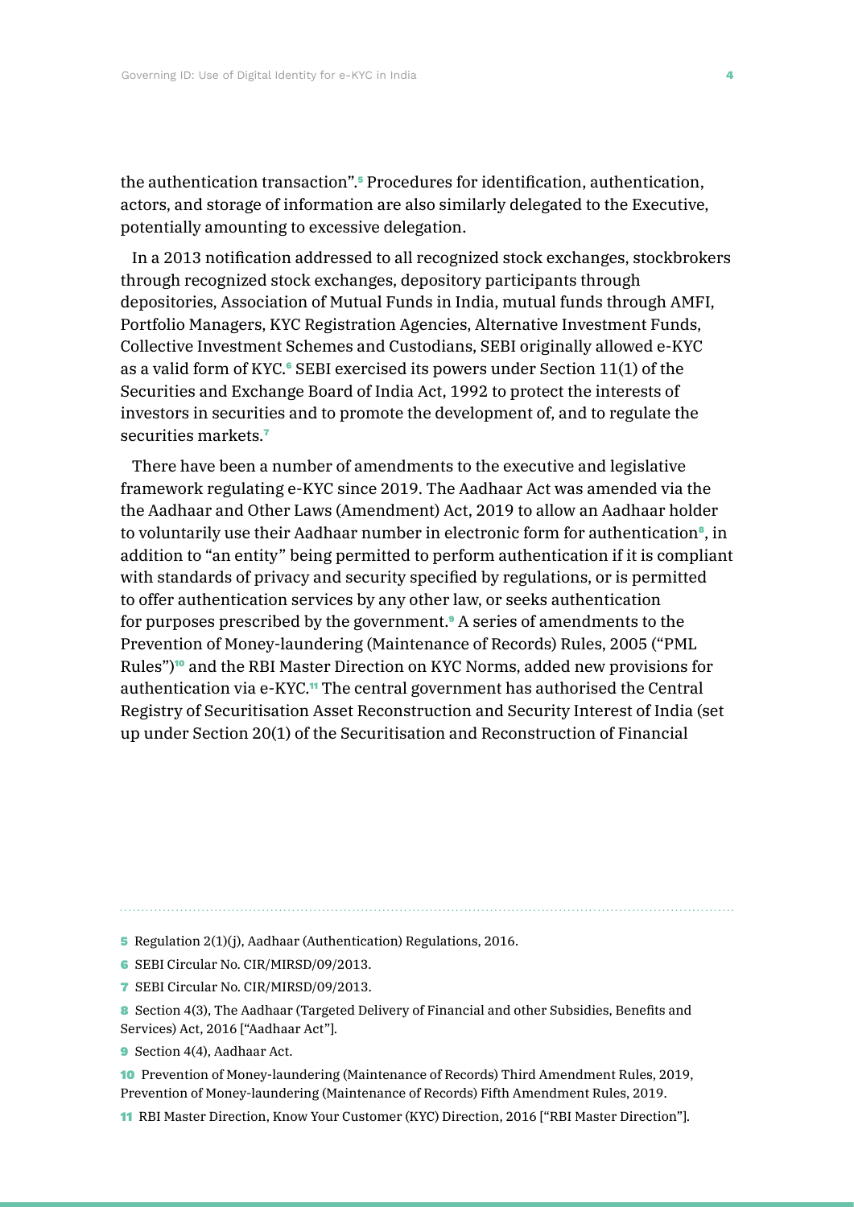the authentication transaction".5 Procedures for identification, authentication, actors, and storage of information are also similarly delegated to the Executive, potentially amounting to excessive delegation.

In a 2013 notification addressed to all recognized stock exchanges, stockbrokers through recognized stock exchanges, depository participants through depositories, Association of Mutual Funds in India, mutual funds through AMFI, Portfolio Managers, KYC Registration Agencies, Alternative Investment Funds, Collective Investment Schemes and Custodians, SEBI originally allowed e-KYC as a valid form of KYC.<sup>6</sup> SEBI exercised its powers under Section  $11(1)$  of the Securities and Exchange Board of India Act, 1992 to protect the interests of investors in securities and to promote the development of, and to regulate the securities markets.<sup>7</sup>

There have been a number of amendments to the executive and legislative framework regulating e-KYC since 2019. The Aadhaar Act was amended via the the Aadhaar and Other Laws (Amendment) Act, 2019 to allow an Aadhaar holder to voluntarily use their Aadhaar number in electronic form for authentication<sup>9</sup>, in addition to "an entity" being permitted to perform authentication if it is compliant with standards of privacy and security specified by regulations, or is permitted to offer authentication services by any other law, or seeks authentication for purposes prescribed by the government.9 A series of amendments to the Prevention of Money-laundering (Maintenance of Records) Rules, 2005 ("PML Rules")<sup>10</sup> and the RBI Master Direction on KYC Norms, added new provisions for authentication via e-KYC.<sup>11</sup> The central government has authorised the Central Registry of Securitisation Asset Reconstruction and Security Interest of India (set up under Section 20(1) of the Securitisation and Reconstruction of Financial

5 Regulation 2(1)(j), Aadhaar (Authentication) Regulations, 2016.

- 6 SEBI Circular No. CIR/MIRSD/09/2013.
- 7 SEBI Circular No. CIR/MIRSD/09/2013.
- 8 Section 4(3), The Aadhaar (Targeted Delivery of Financial and other Subsidies, Benefits and Services) Act, 2016 ["Aadhaar Act"].
- **9** Section 4(4), Aadhaar Act.
- 10 Prevention of Money-laundering (Maintenance of Records) Third Amendment Rules, 2019, Prevention of Money-laundering (Maintenance of Records) Fifth Amendment Rules, 2019.
- 11 RBI Master Direction, Know Your Customer (KYC) Direction, 2016 ["RBI Master Direction"].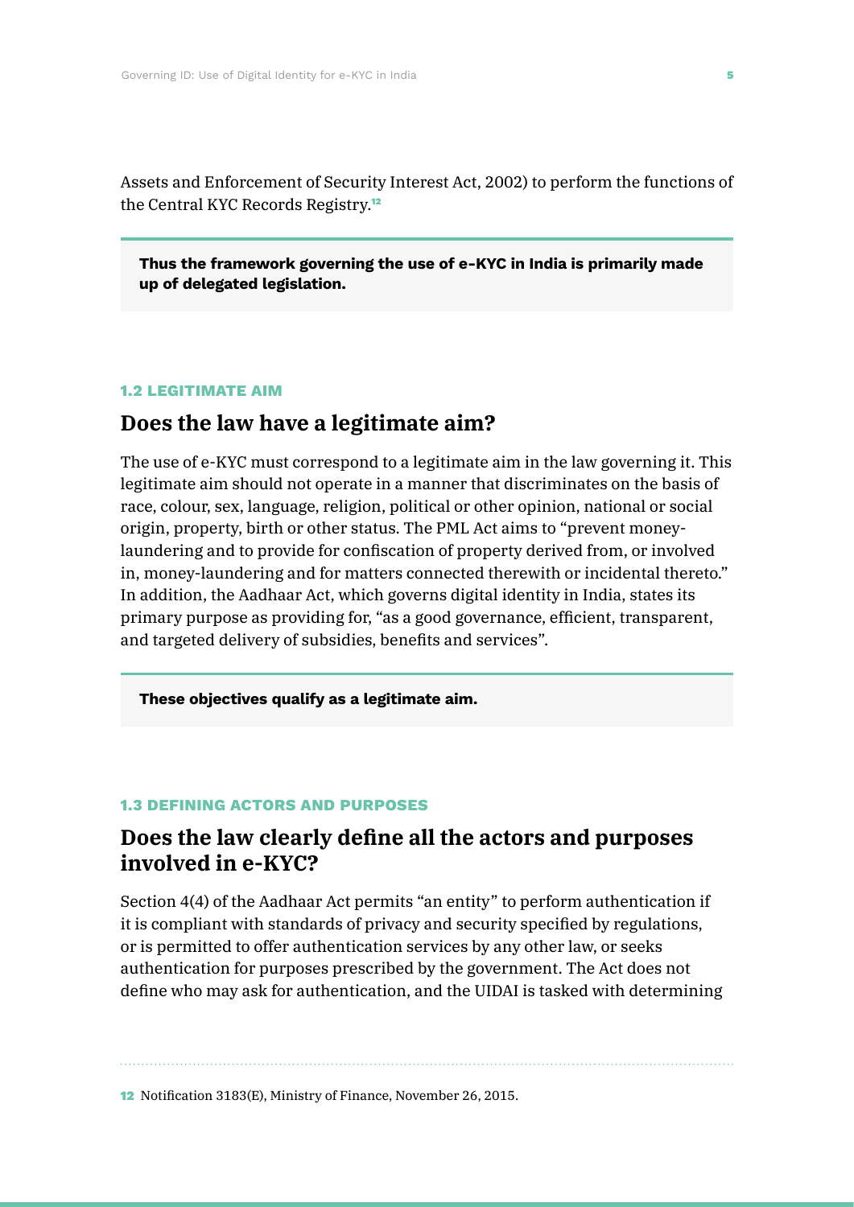Assets and Enforcement of Security Interest Act, 2002) to perform the functions of the Central KYC Records Registry.<sup>12</sup>

**Thus the framework governing the use of e-KYC in India is primarily made up of delegated legislation.**

#### **1.2 LEGITIMATE AIM**

### **Does the law have a legitimate aim?**

The use of e-KYC must correspond to a legitimate aim in the law governing it. This legitimate aim should not operate in a manner that discriminates on the basis of race, colour, sex, language, religion, political or other opinion, national or social origin, property, birth or other status. The PML Act aims to "prevent moneylaundering and to provide for confiscation of property derived from, or involved in, money-laundering and for matters connected therewith or incidental thereto." In addition, the Aadhaar Act, which governs digital identity in India, states its primary purpose as providing for, "as a good governance, efficient, transparent, and targeted delivery of subsidies, benefits and services".

**These objectives qualify as a legitimate aim.**

### **1.3 DEFINING ACTORS AND PURPOSES**

### **Does the law clearly define all the actors and purposes involved in e-KYC?**

Section 4(4) of the Aadhaar Act permits "an entity" to perform authentication if it is compliant with standards of privacy and security specified by regulations, or is permitted to offer authentication services by any other law, or seeks authentication for purposes prescribed by the government. The Act does not define who may ask for authentication, and the UIDAI is tasked with determining

12 Notification 3183(E), Ministry of Finance, November 26, 2015.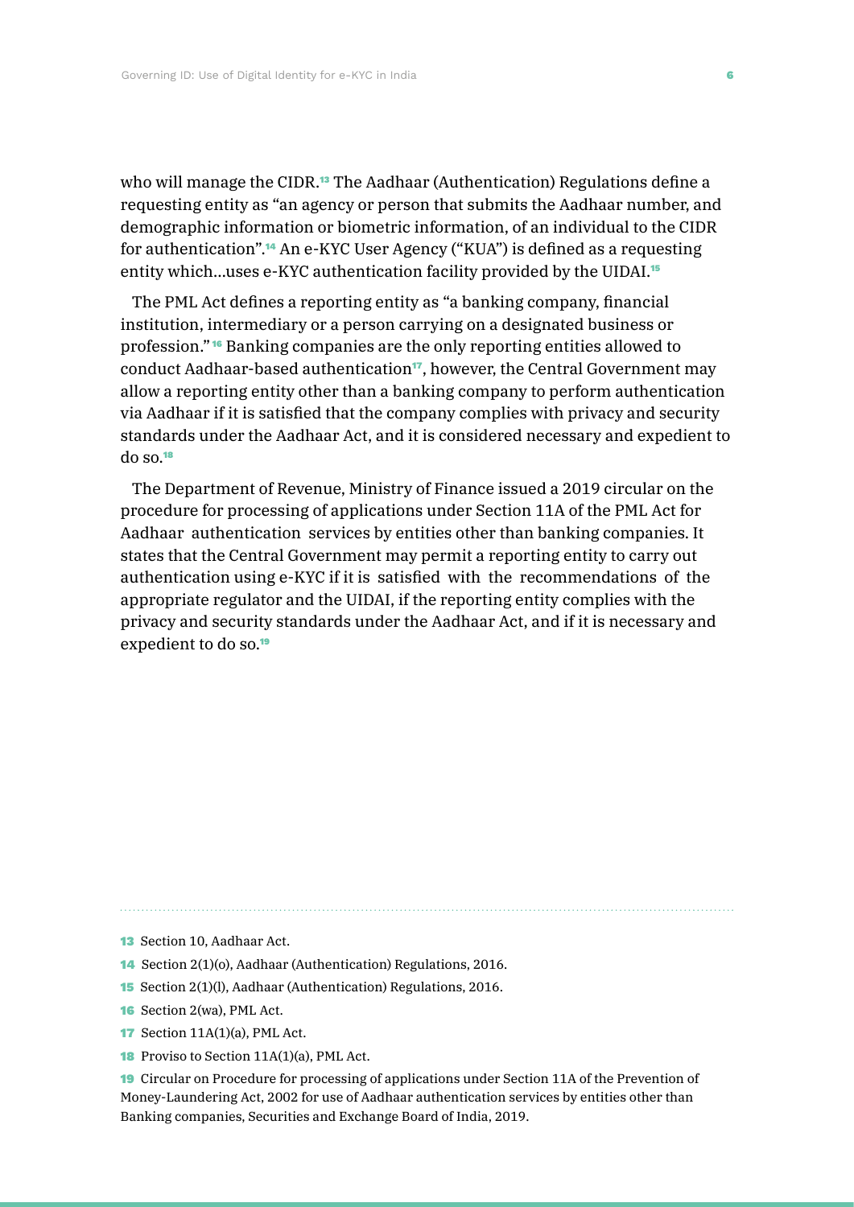who will manage the CIDR.<sup>13</sup> The Aadhaar (Authentication) Regulations define a requesting entity as "an agency or person that submits the Aadhaar number, and demographic information or biometric information, of an individual to the CIDR for authentication".14 An e-KYC User Agency ("KUA") is defined as a requesting entity which...uses e-KYC authentication facility provided by the UIDAI.<sup>15</sup>

The PML Act defines a reporting entity as "a banking company, financial institution, intermediary or a person carrying on a designated business or profession." <sup>16</sup> Banking companies are the only reporting entities allowed to conduct Aadhaar-based authentication<sup>17</sup>, however, the Central Government may allow a reporting entity other than a banking company to perform authentication via Aadhaar if it is satisfied that the company complies with privacy and security standards under the Aadhaar Act, and it is considered necessary and expedient to do so.<sup>18</sup>

The Department of Revenue, Ministry of Finance issued a 2019 circular on the procedure for processing of applications under Section 11A of the PML Act for Aadhaar authentication services by entities other than banking companies. It states that the Central Government may permit a reporting entity to carry out authentication using e-KYC if it is satisfied with the recommendations of the appropriate regulator and the UIDAI, if the reporting entity complies with the privacy and security standards under the Aadhaar Act, and if it is necessary and expedient to do so.<sup>19</sup>

- 16 Section 2(wa), PML Act.
- **17** Section 11A(1)(a), PML Act.
- **18** Proviso to Section 11A(1)(a), PML Act.

19 Circular on Procedure for processing of applications under Section 11A of the Prevention of Money-Laundering Act, 2002 for use of Aadhaar authentication services by entities other than Banking companies, Securities and Exchange Board of India, 2019.

**<sup>13</sup>** Section 10, Aadhaar Act.

<sup>14</sup> Section 2(1)(o), Aadhaar (Authentication) Regulations, 2016.

<sup>15</sup> Section 2(1)(l), Aadhaar (Authentication) Regulations, 2016.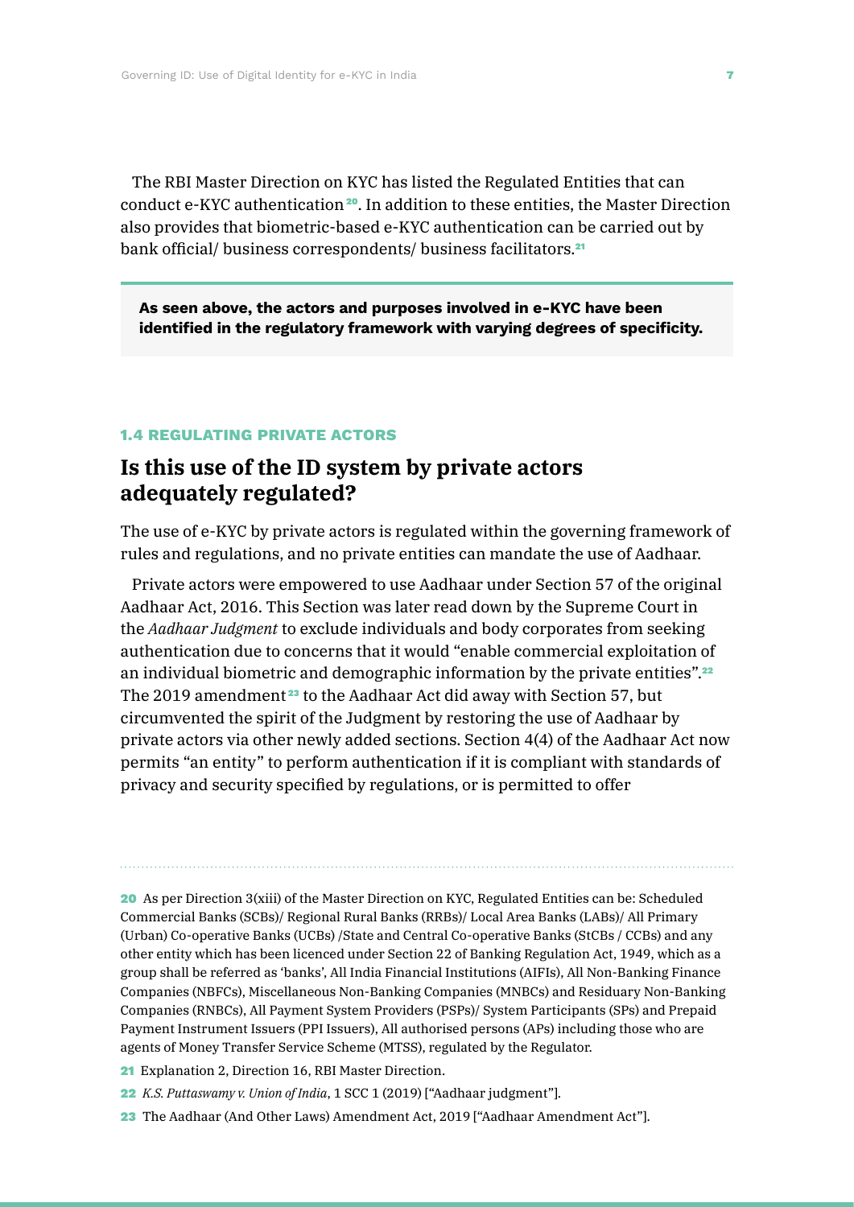The RBI Master Direction on KYC has listed the Regulated Entities that can conduct e-KYC authentication<sup>20</sup>. In addition to these entities, the Master Direction also provides that biometric-based e-KYC authentication can be carried out by bank official/ business correspondents/ business facilitators.<sup>21</sup>

**As seen above, the actors and purposes involved in e-KYC have been identified in the regulatory framework with varying degrees of specificity.**

#### **1.4 REGULATING PRIVATE ACTORS**

## **Is this use of the ID system by private actors adequately regulated?**

The use of e-KYC by private actors is regulated within the governing framework of rules and regulations, and no private entities can mandate the use of Aadhaar.

Private actors were empowered to use Aadhaar under Section 57 of the original Aadhaar Act, 2016. This Section was later read down by the Supreme Court in the *Aadhaar Judgment* to exclude individuals and body corporates from seeking authentication due to concerns that it would "enable commercial exploitation of an individual biometric and demographic information by the private entities".<sup>22</sup> The 2019 amendment<sup>23</sup> to the Aadhaar Act did away with Section 57, but circumvented the spirit of the Judgment by restoring the use of Aadhaar by private actors via other newly added sections. Section 4(4) of the Aadhaar Act now permits "an entity" to perform authentication if it is compliant with standards of privacy and security specified by regulations, or is permitted to offer

21 Explanation 2, Direction 16, RBI Master Direction.

- 22 *K.S. Puttaswamy v. Union of India*, 1 SCC 1 (2019) ["Aadhaar judgment"].
- 23 The Aadhaar (And Other Laws) Amendment Act, 2019 ["Aadhaar Amendment Act"].

<sup>20</sup> As per Direction 3(xiii) of the Master Direction on KYC, Regulated Entities can be: Scheduled Commercial Banks (SCBs)/ Regional Rural Banks (RRBs)/ Local Area Banks (LABs)/ All Primary (Urban) Co-operative Banks (UCBs) /State and Central Co-operative Banks (StCBs / CCBs) and any other entity which has been licenced under Section 22 of Banking Regulation Act, 1949, which as a group shall be referred as 'banks', All India Financial Institutions (AIFIs), All Non-Banking Finance Companies (NBFCs), Miscellaneous Non-Banking Companies (MNBCs) and Residuary Non-Banking Companies (RNBCs), All Payment System Providers (PSPs)/ System Participants (SPs) and Prepaid Payment Instrument Issuers (PPI Issuers), All authorised persons (APs) including those who are agents of Money Transfer Service Scheme (MTSS), regulated by the Regulator.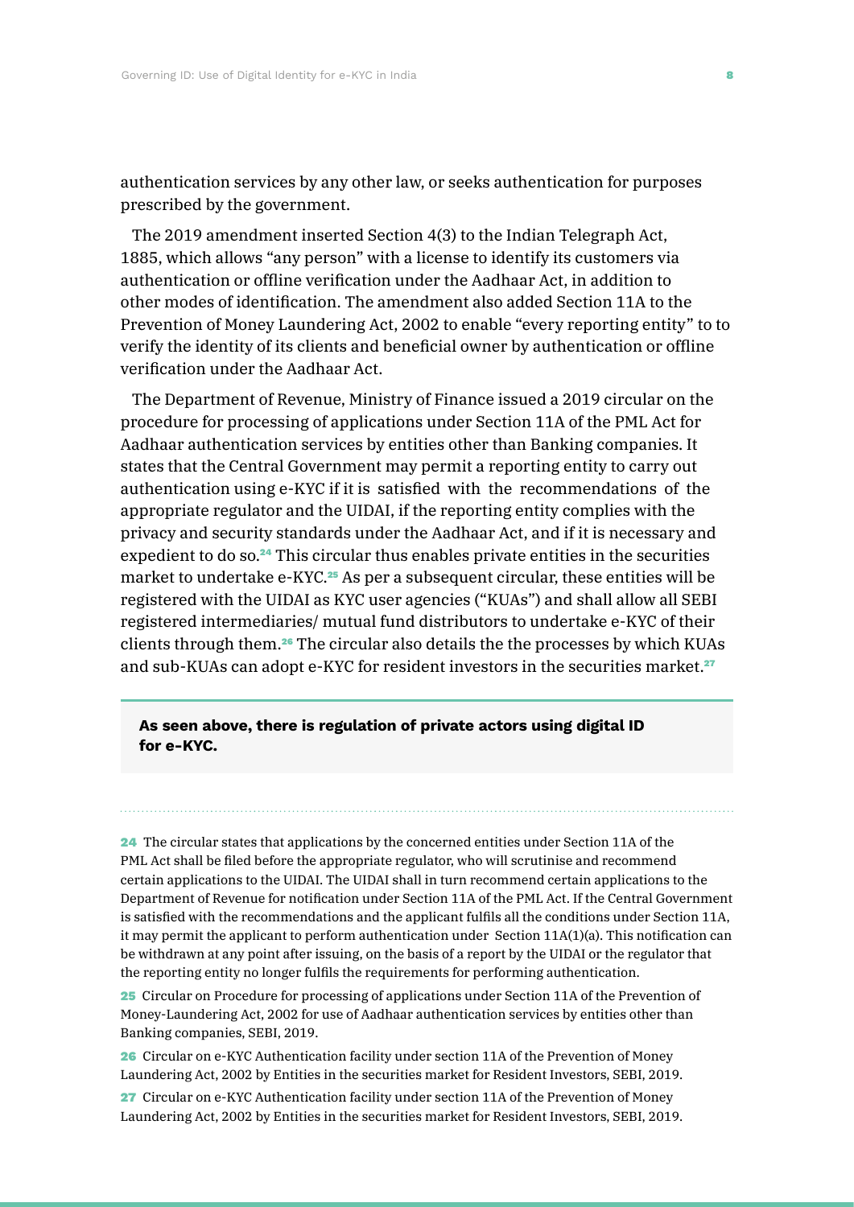authentication services by any other law, or seeks authentication for purposes prescribed by the government.

The 2019 amendment inserted Section 4(3) to the Indian Telegraph Act, 1885, which allows "any person" with a license to identify its customers via authentication or offline verification under the Aadhaar Act, in addition to other modes of identification. The amendment also added Section 11A to the Prevention of Money Laundering Act, 2002 to enable "every reporting entity" to to verify the identity of its clients and beneficial owner by authentication or offline verification under the Aadhaar Act.

The Department of Revenue, Ministry of Finance issued a 2019 circular on the procedure for processing of applications under Section 11A of the PML Act for Aadhaar authentication services by entities other than Banking companies. It states that the Central Government may permit a reporting entity to carry out authentication using e-KYC if it is satisfied with the recommendations of the appropriate regulator and the UIDAI, if the reporting entity complies with the privacy and security standards under the Aadhaar Act, and if it is necessary and expedient to do so.<sup>24</sup> This circular thus enables private entities in the securities market to undertake e-KYC.<sup>25</sup> As per a subsequent circular, these entities will be registered with the UIDAI as KYC user agencies ("KUAs") and shall allow all SEBI registered intermediaries/ mutual fund distributors to undertake e-KYC of their clients through them.26 The circular also details the the processes by which KUAs and sub-KUAs can adopt e-KYC for resident investors in the securities market.<sup>27</sup>

### **As seen above, there is regulation of private actors using digital ID for e-KYC.**

24 The circular states that applications by the concerned entities under Section 11A of the PML Act shall be filed before the appropriate regulator, who will scrutinise and recommend certain applications to the UIDAI. The UIDAI shall in turn recommend certain applications to the Department of Revenue for notification under Section 11A of the PML Act. If the Central Government is satisfied with the recommendations and the applicant fulfils all the conditions under Section 11A, it may permit the applicant to perform authentication under Section 11A(1)(a). This notification can be withdrawn at any point after issuing, on the basis of a report by the UIDAI or the regulator that the reporting entity no longer fulfils the requirements for performing authentication.

25 Circular on Procedure for processing of applications under Section 11A of the Prevention of Money-Laundering Act, 2002 for use of Aadhaar authentication services by entities other than Banking companies, SEBI, 2019.

26 Circular on e-KYC Authentication facility under section 11A of the Prevention of Money Laundering Act, 2002 by Entities in the securities market for Resident Investors, SEBI, 2019.

27 Circular on e-KYC Authentication facility under section 11A of the Prevention of Money Laundering Act, 2002 by Entities in the securities market for Resident Investors, SEBI, 2019.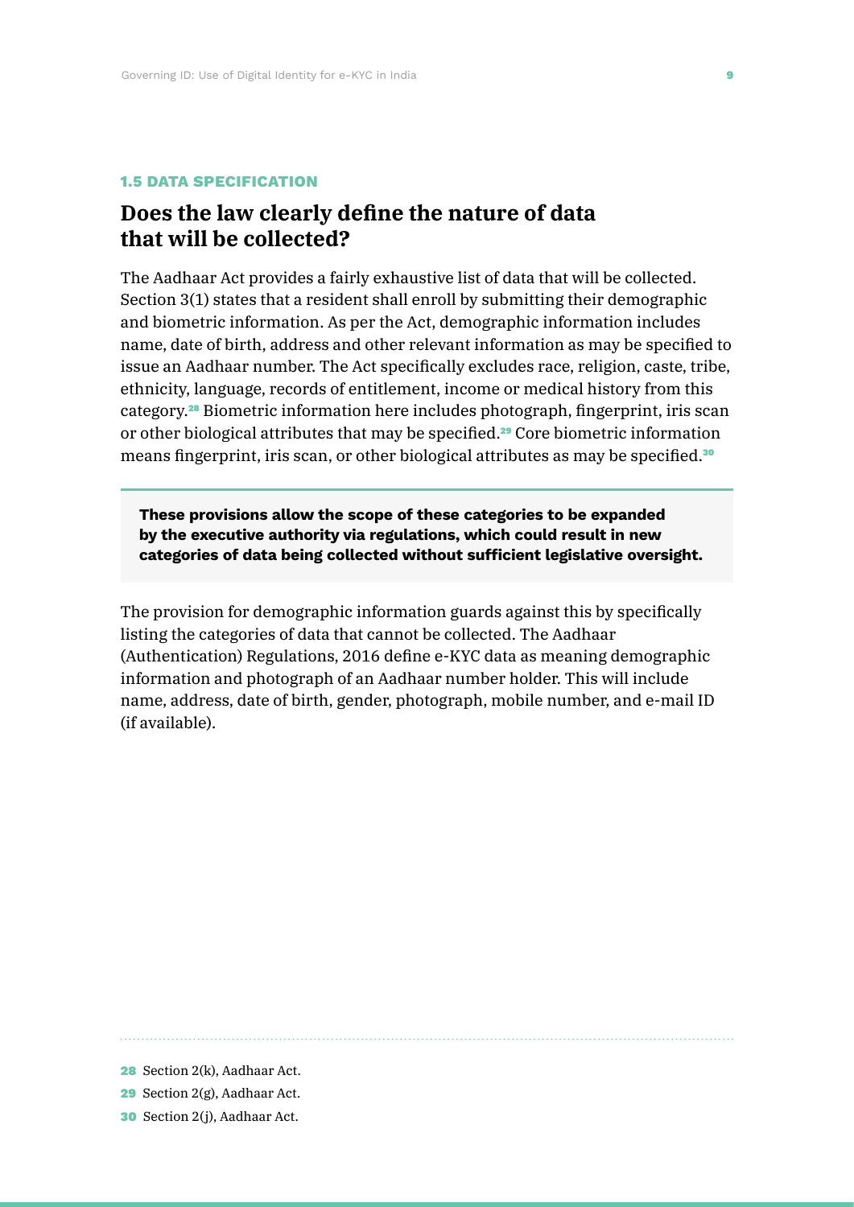#### **1.5 DATA SPECIFICATION**

### **Does the law clearly define the nature of data that will be collected?**

The Aadhaar Act provides a fairly exhaustive list of data that will be collected. Section 3(1) states that a resident shall enroll by submitting their demographic and biometric information. As per the Act, demographic information includes name, date of birth, address and other relevant information as may be specified to issue an Aadhaar number. The Act specifically excludes race, religion, caste, tribe, ethnicity, language, records of entitlement, income or medical history from this category.28 Biometric information here includes photograph, fingerprint, iris scan or other biological attributes that may be specified.29 Core biometric information means fingerprint, iris scan, or other biological attributes as may be specified.<sup>30</sup>

**These provisions allow the scope of these categories to be expanded by the executive authority via regulations, which could result in new categories of data being collected without sufficient legislative oversight.**

The provision for demographic information guards against this by specifically listing the categories of data that cannot be collected. The Aadhaar (Authentication) Regulations, 2016 define e-KYC data as meaning demographic information and photograph of an Aadhaar number holder. This will include name, address, date of birth, gender, photograph, mobile number, and e-mail ID (if available).

28 Section 2(k), Aadhaar Act.

<sup>29</sup> Section 2(g), Aadhaar Act.

<sup>30</sup> Section 2(j), Aadhaar Act.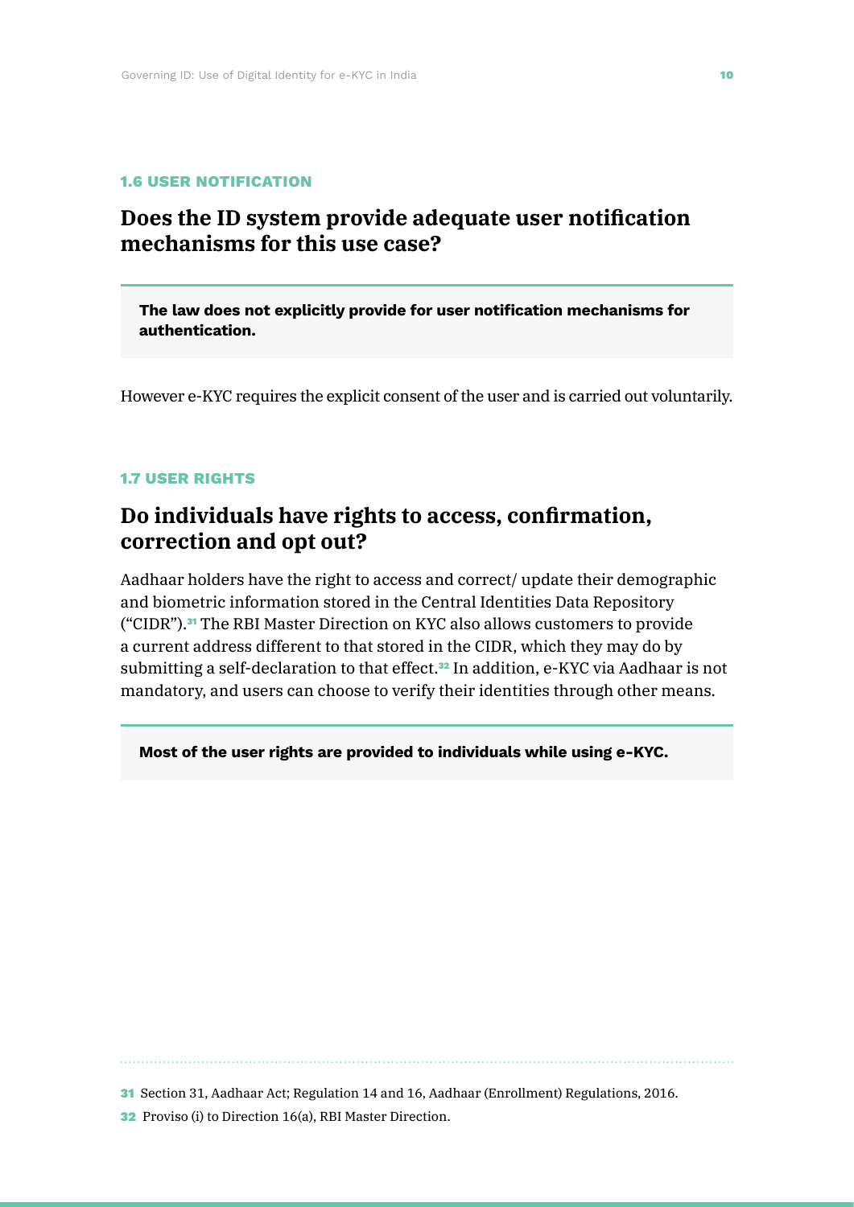#### **1.6 USER NOTIFICATION**

## **Does the ID system provide adequate user notification mechanisms for this use case?**

**The law does not explicitly provide for user notification mechanisms for authentication.** 

However e-KYC requires the explicit consent of the user and is carried out voluntarily.

#### **1.7 USER RIGHTS**

## **Do individuals have rights to access, confirmation, correction and opt out?**

Aadhaar holders have the right to access and correct/ update their demographic and biometric information stored in the Central Identities Data Repository ("CIDR").31 The RBI Master Direction on KYC also allows customers to provide a current address different to that stored in the CIDR, which they may do by submitting a self-declaration to that effect.<sup>32</sup> In addition, e-KYC via Aadhaar is not mandatory, and users can choose to verify their identities through other means.

**Most of the user rights are provided to individuals while using e-KYC.**

31 Section 31, Aadhaar Act; Regulation 14 and 16, Aadhaar (Enrollment) Regulations, 2016.

32 Proviso (i) to Direction 16(a), RBI Master Direction.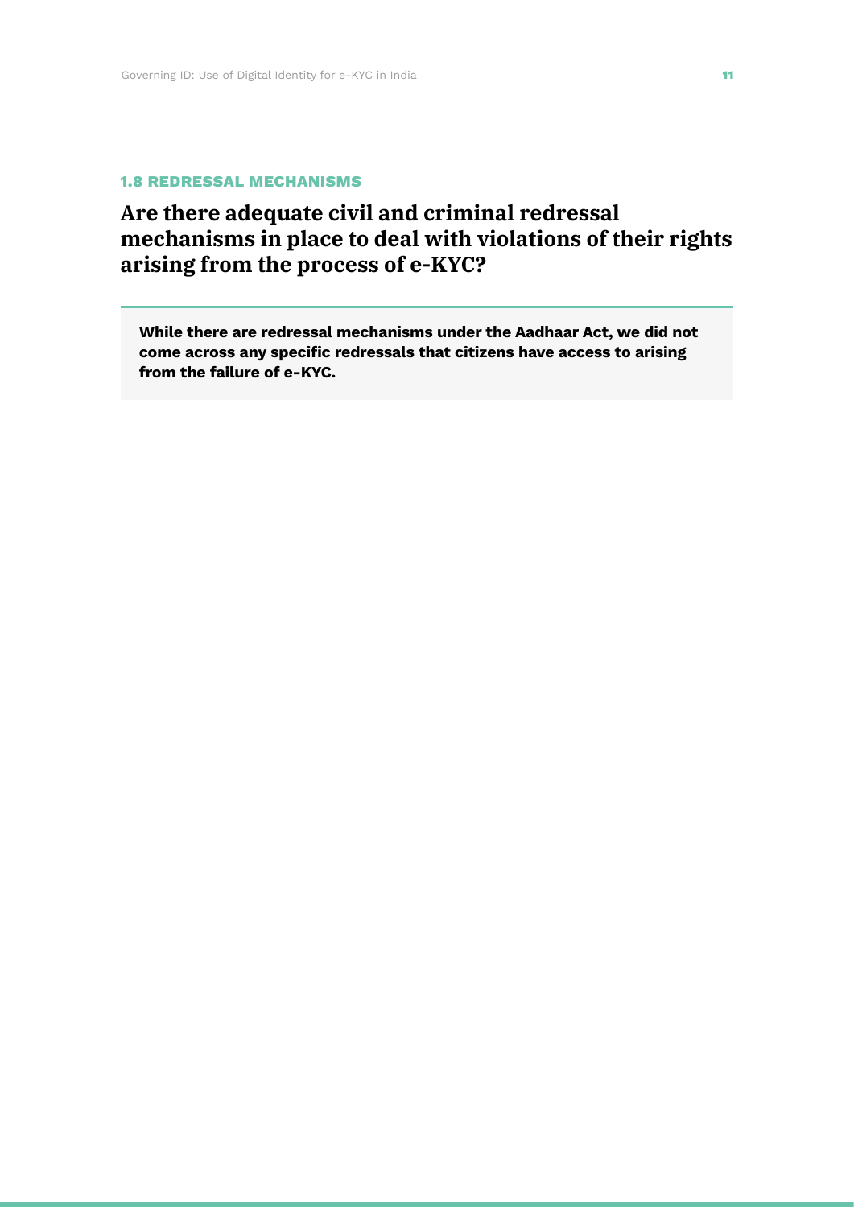#### **1.8 REDRESSAL MECHANISMS**

# **Are there adequate civil and criminal redressal mechanisms in place to deal with violations of their rights arising from the process of e-KYC?**

**While there are redressal mechanisms under the Aadhaar Act, we did not come across any specific redressals that citizens have access to arising from the failure of e-KYC.**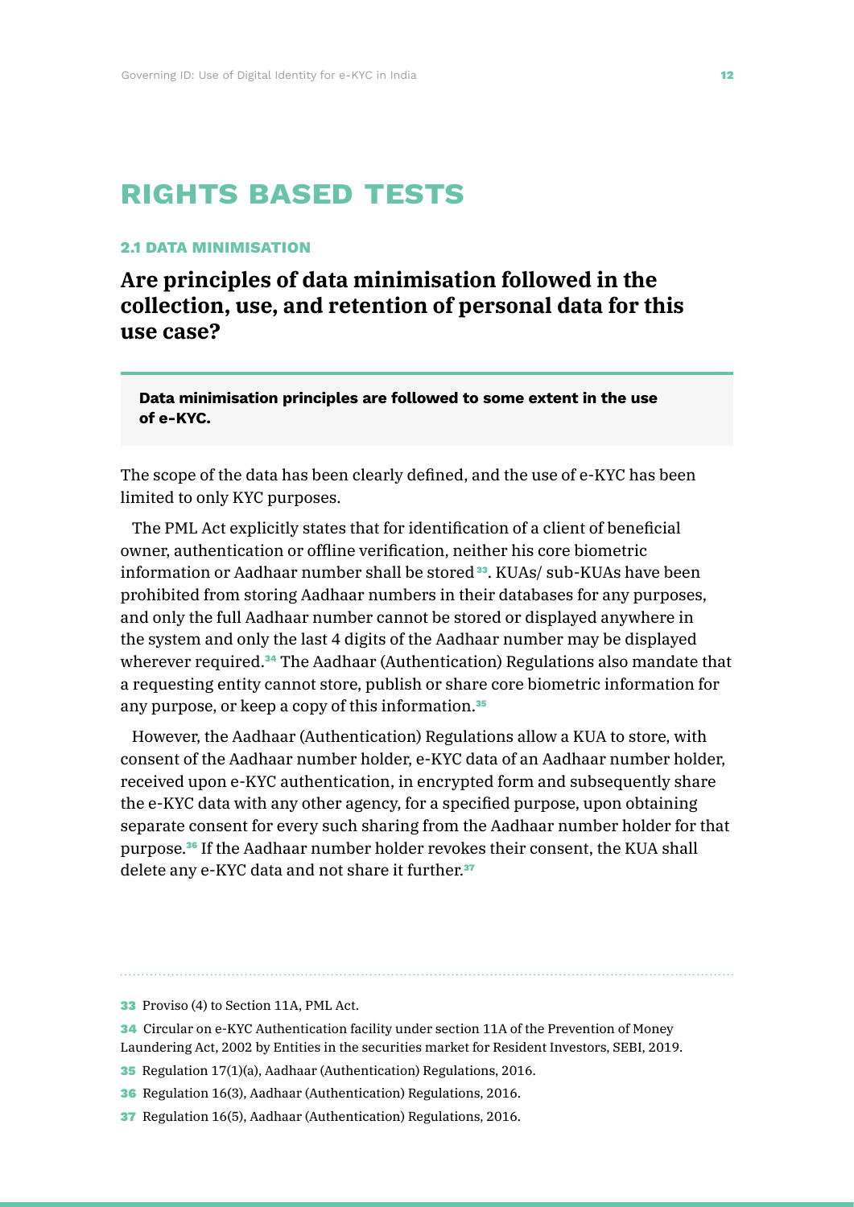# **rights based tests**

### **2.1 DATA MINIMISATION**

**Are principles of data minimisation followed in the collection, use, and retention of personal data for this use case?** 

**Data minimisation principles are followed to some extent in the use of e-KYC.**

The scope of the data has been clearly defined, and the use of e-KYC has been limited to only KYC purposes.

The PML Act explicitly states that for identification of a client of beneficial owner, authentication or offline verification, neither his core biometric information or Aadhaar number shall be stored<sup>33</sup>. KUAs/ sub-KUAs have been prohibited from storing Aadhaar numbers in their databases for any purposes, and only the full Aadhaar number cannot be stored or displayed anywhere in the system and only the last 4 digits of the Aadhaar number may be displayed wherever required.<sup>34</sup> The Aadhaar (Authentication) Regulations also mandate that a requesting entity cannot store, publish or share core biometric information for any purpose, or keep a copy of this information.<sup>35</sup>

However, the Aadhaar (Authentication) Regulations allow a KUA to store, with consent of the Aadhaar number holder, e-KYC data of an Aadhaar number holder, received upon e-KYC authentication, in encrypted form and subsequently share the e-KYC data with any other agency, for a specified purpose, upon obtaining separate consent for every such sharing from the Aadhaar number holder for that purpose.36 If the Aadhaar number holder revokes their consent, the KUA shall delete any e-KYC data and not share it further.<sup>37</sup>

- 34 Circular on e-KYC Authentication facility under section 11A of the Prevention of Money Laundering Act, 2002 by Entities in the securities market for Resident Investors, SEBI, 2019.
- 35 Regulation 17(1)(a), Aadhaar (Authentication) Regulations, 2016.
- 36 Regulation 16(3), Aadhaar (Authentication) Regulations, 2016.
- 37 Regulation 16(5), Aadhaar (Authentication) Regulations, 2016.

<sup>33</sup> Proviso (4) to Section 11A, PML Act.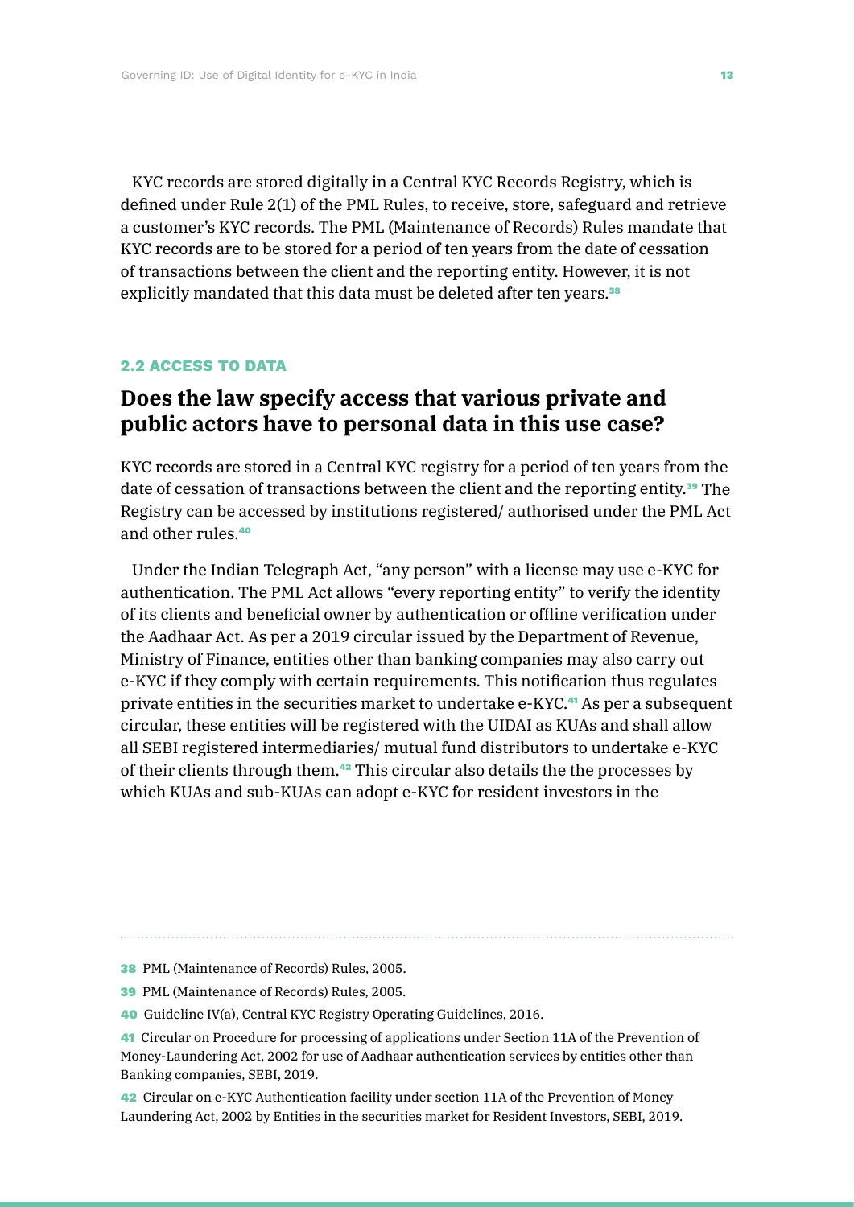KYC records are stored digitally in a Central KYC Records Registry, which is defined under Rule 2(1) of the PML Rules, to receive, store, safeguard and retrieve a customer's KYC records. The PML (Maintenance of Records) Rules mandate that KYC records are to be stored for a period of ten years from the date of cessation of transactions between the client and the reporting entity. However, it is not explicitly mandated that this data must be deleted after ten years.<sup>38</sup>

#### **2.2 ACCESS TO DATA**

# **Does the law specify access that various private and public actors have to personal data in this use case?**

KYC records are stored in a Central KYC registry for a period of ten years from the date of cessation of transactions between the client and the reporting entity.39 The Registry can be accessed by institutions registered/ authorised under the PML Act and other rules.<sup>40</sup>

Under the Indian Telegraph Act, "any person" with a license may use e-KYC for authentication. The PML Act allows "every reporting entity" to verify the identity of its clients and beneficial owner by authentication or offline verification under the Aadhaar Act. As per a 2019 circular issued by the Department of Revenue, Ministry of Finance, entities other than banking companies may also carry out e-KYC if they comply with certain requirements. This notification thus regulates private entities in the securities market to undertake e-KYC.41 As per a subsequent circular, these entities will be registered with the UIDAI as KUAs and shall allow all SEBI registered intermediaries/ mutual fund distributors to undertake e-KYC of their clients through them.42 This circular also details the the processes by which KUAs and sub-KUAs can adopt e-KYC for resident investors in the

- 38 PML (Maintenance of Records) Rules, 2005.
- 39 PML (Maintenance of Records) Rules, 2005.
- 40 Guideline IV(a), Central KYC Registry Operating Guidelines, 2016.

42 Circular on e-KYC Authentication facility under section 11A of the Prevention of Money Laundering Act, 2002 by Entities in the securities market for Resident Investors, SEBI, 2019.

<sup>41</sup> Circular on Procedure for processing of applications under Section 11A of the Prevention of Money-Laundering Act, 2002 for use of Aadhaar authentication services by entities other than Banking companies, SEBI, 2019.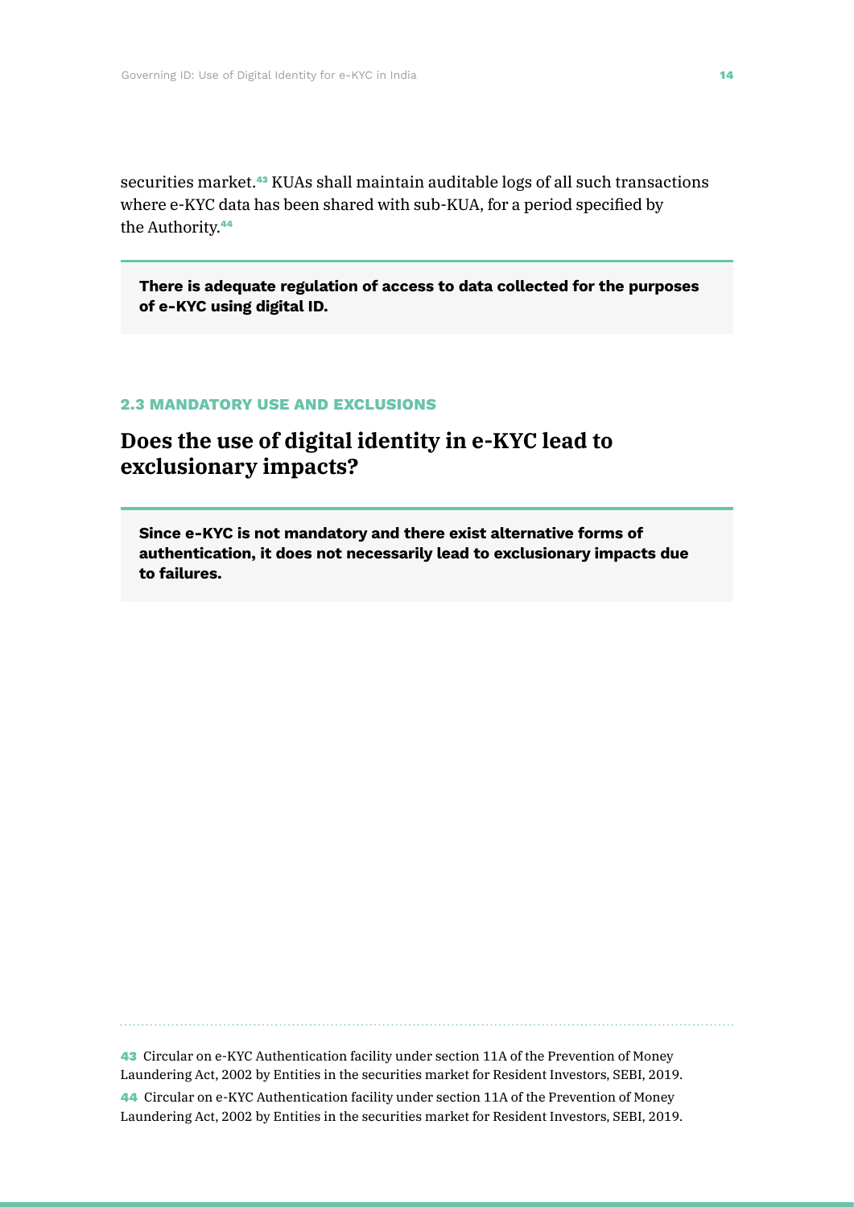securities market.<sup>43</sup> KUAs shall maintain auditable logs of all such transactions where e-KYC data has been shared with sub-KUA, for a period specified by the Authority.<sup>44</sup>

**There is adequate regulation of access to data collected for the purposes of e-KYC using digital ID.**

### **2.3 MANDATORY LISE AND EXCLUSIONS**

## **Does the use of digital identity in e-KYC lead to exclusionary impacts?**

**Since e-KYC is not mandatory and there exist alternative forms of authentication, it does not necessarily lead to exclusionary impacts due to failures.** 

43 Circular on e-KYC Authentication facility under section 11A of the Prevention of Money Laundering Act, 2002 by Entities in the securities market for Resident Investors, SEBI, 2019.

44 Circular on e-KYC Authentication facility under section 11A of the Prevention of Money Laundering Act, 2002 by Entities in the securities market for Resident Investors, SEBI, 2019.